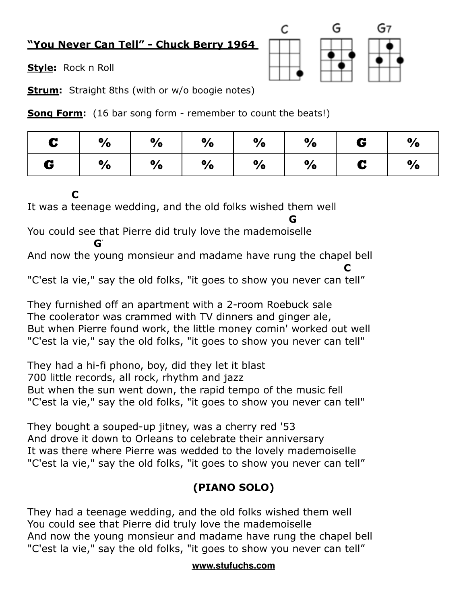## **"You Never Can Tell" - Chuck Berry 1964**

**Style:** Rock n Roll



**Strum:** Straight 8ths (with or w/o boogie notes)

**Song Form:** (16 bar song form - remember to count the beats!)

| C   | $\frac{1}{2}$ | $\frac{1}{2}$ %                 | $\sim$ % | $\%$ $\%$ $\%$  | $\frac{1}{2}$ |
|-----|---------------|---------------------------------|----------|-----------------|---------------|
| l G | $\frac{1}{2}$ | $\frac{1}{2}$ % $\frac{1}{2}$ % |          | $\%$   $\%$   C | $\frac{6}{6}$ |

 **C** 

It was a teenage wedding, and the old folks wished them well

 **G** You could see that Pierre did truly love the mademoiselle

**G**<sup>7</sup> And now the young monsieur and madame have rung the chapel bell **C C** 

"C'est la vie," say the old folks, "it goes to show you never can tell"

They furnished off an apartment with a 2-room Roebuck sale The coolerator was crammed with TV dinners and ginger ale, But when Pierre found work, the little money comin' worked out well "C'est la vie," say the old folks, "it goes to show you never can tell"

They had a hi-fi phono, boy, did they let it blast 700 little records, all rock, rhythm and jazz But when the sun went down, the rapid tempo of the music fell "C'est la vie," say the old folks, "it goes to show you never can tell"

They bought a souped-up jitney, was a cherry red '53 And drove it down to Orleans to celebrate their anniversary It was there where Pierre was wedded to the lovely mademoiselle "C'est la vie," say the old folks, "it goes to show you never can tell"

## **(PIANO SOLO)**

They had a teenage wedding, and the old folks wished them well You could see that Pierre did truly love the mademoiselle And now the young monsieur and madame have rung the chapel bell "C'est la vie," say the old folks, "it goes to show you never can tell"

## **[www.stufuchs.com](http://www.stufuchs.com)**